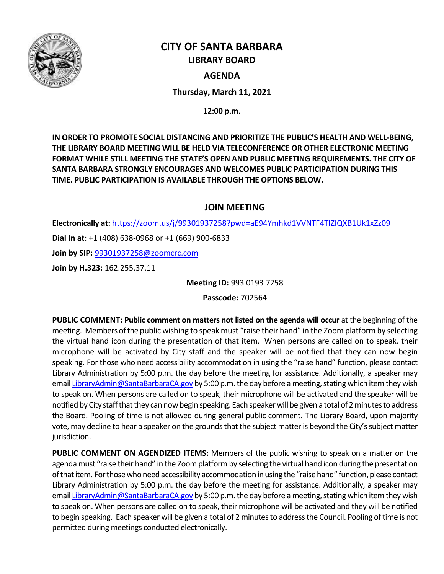

# **CITY OF SANTA BARBARA LIBRARY BOARD**

# **AGENDA**

**Thursday, March 11, 2021**

**12:00 p.m.**

**IN ORDER TO PROMOTE SOCIAL DISTANCING AND PRIORITIZE THE PUBLIC'S HEALTH AND WELL-BEING, THE LIBRARY BOARD MEETING WILL BE HELD VIA TELECONFERENCE OR OTHER ELECTRONIC MEETING FORMAT WHILE STILL MEETING THE STATE'S OPEN AND PUBLIC MEETING REQUIREMENTS. THE CITY OF SANTA BARBARA STRONGLY ENCOURAGES AND WELCOMES PUBLIC PARTICIPATION DURING THIS TIME. PUBLIC PARTICIPATION IS AVAILABLE THROUGH THE OPTIONS BELOW.**

# **JOIN MEETING**

**Electronically at:** <https://zoom.us/j/99301937258?pwd=aE94Ymhkd1VVNTF4TlZIQXB1Uk1xZz09> **Dial In at**: +1 (408) 638-0968 or +1 (669) 900-6833 **Join by SIP:** [99301937258@zoomcrc.com](mailto:99301937258@zoomcrc.com) **Join by H.323:** 162.255.37.11

**Meeting ID:** 993 0193 7258

**Passcode:** 702564

**PUBLIC COMMENT: Public comment on matters not listed on the agenda will occur at the beginning of the** meeting. Members of the public wishing to speak must "raise their hand" in the Zoom platform by selecting the virtual hand icon during the presentation of that item. When persons are called on to speak, their microphone will be activated by City staff and the speaker will be notified that they can now begin speaking. For those who need accessibility accommodation in using the "raise hand" function, please contact Library Administration by 5:00 p.m. the day before the meeting for assistance. Additionally, a speaker may emai[l LibraryAdmin@SantaBarbaraCA.gov](mailto:LibraryAdmin@SantaBarbaraCA.gov) by 5:00 p.m. the day before a meeting, stating which item they wish to speak on. When persons are called on to speak, their microphone will be activated and the speaker will be notified by City staff that they can now begin speaking. Each speaker will be given a total of 2minutes to address the Board. Pooling of time is not allowed during general public comment. The Library Board, upon majority vote, may decline to hear a speaker on the grounds that the subject matter is beyond the City's subject matter jurisdiction.

**PUBLIC COMMENT ON AGENDIZED ITEMS:** Members of the public wishing to speak on a matter on the agenda must "raise their hand" in the Zoom platform by selecting the virtual hand icon during the presentation of that item. For those who need accessibility accommodation in using the "raise hand" function, please contact Library Administration by 5:00 p.m. the day before the meeting for assistance. Additionally, a speaker may emai[l LibraryAdmin@SantaBarbaraCA.gov](mailto:LibraryAdmin@SantaBarbaraCA.gov) by 5:00 p.m. the day before a meeting, stating which item they wish to speak on. When persons are called on to speak, their microphone will be activated and they will be notified to begin speaking. Each speaker will be given a total of 2 minutes to address the Council. Pooling of time is not permitted during meetings conducted electronically.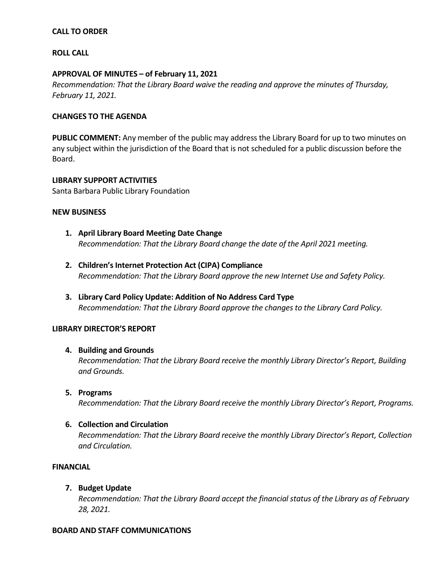# **CALL TO ORDER**

# **ROLL CALL**

## **APPROVAL OF MINUTES – of February 11, 2021**

*Recommendation: That the Library Board waive the reading and approve the minutes of Thursday, February 11, 2021.*

## **CHANGES TO THE AGENDA**

**PUBLIC COMMENT:** Any member of the public may address the Library Board for up to two minutes on any subject within the jurisdiction of the Board that is not scheduled for a public discussion before the Board.

**LIBRARY SUPPORT ACTIVITIES** Santa Barbara Public Library Foundation

#### **NEW BUSINESS**

- **1. April Library Board Meeting Date Change** *Recommendation: That the Library Board change the date of the April 2021 meeting.*
- **2. Children's Internet Protection Act (CIPA) Compliance**  *Recommendation: That the Library Board approve the new Internet Use and Safety Policy.*
- **3. Library Card Policy Update: Addition of No Address Card Type** *Recommendation: That the Library Board approve the changes to the Library Card Policy.*

# **LIBRARY DIRECTOR'S REPORT**

#### **4. Building and Grounds**

*Recommendation: That the Library Board receive the monthly Library Director's Report, Building and Grounds.*

**5. Programs**

*Recommendation: That the Library Board receive the monthly Library Director's Report, Programs.*

#### **6. Collection and Circulation**

*Recommendation: That the Library Board receive the monthly Library Director's Report, Collection and Circulation.*

#### **FINANCIAL**

# **7. Budget Update**

*Recommendation: That the Library Board accept the financial status of the Library as of February 28, 2021.* 

#### **BOARD AND STAFF COMMUNICATIONS**